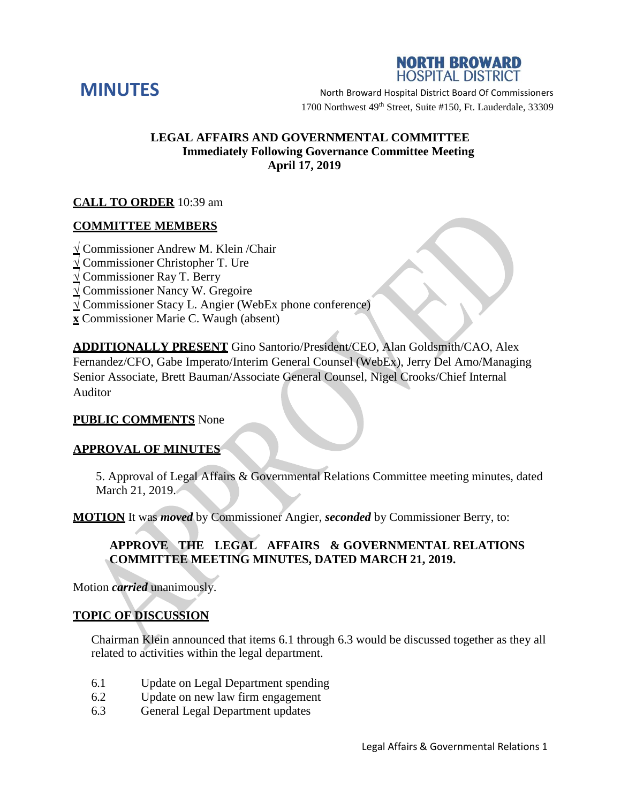



**MINUTES** North Broward Hospital District Board Of Commissioners 1700 Northwest 49<sup>th</sup> Street, Suite #150, Ft. Lauderdale, 33309

# **LEGAL AFFAIRS AND GOVERNMENTAL COMMITTEE Immediately Following Governance Committee Meeting April 17, 2019**

# **CALL TO ORDER** 10:39 am

# **COMMITTEE MEMBERS**

- **√** Commissioner Andrew M. Klein /Chair
- **√** Commissioner Christopher T. Ure
- **√** Commissioner Ray T. Berry
- **√** Commissioner Nancy W. Gregoire
- **√** Commissioner Stacy L. Angier (WebEx phone conference)
- **x** Commissioner Marie C. Waugh (absent)

**ADDITIONALLY PRESENT** Gino Santorio/President/CEO, Alan Goldsmith/CAO, Alex Fernandez/CFO, Gabe Imperato/Interim General Counsel (WebEx), Jerry Del Amo/Managing Senior Associate, Brett Bauman/Associate General Counsel, Nigel Crooks/Chief Internal Auditor

### **PUBLIC COMMENTS** None

### **APPROVAL OF MINUTES**

5. Approval of Legal Affairs & Governmental Relations Committee meeting minutes, dated March 21, 2019.

**MOTION** It was *moved* by Commissioner Angier, *seconded* by Commissioner Berry, to:

# **APPROVE THE LEGAL AFFAIRS & GOVERNMENTAL RELATIONS COMMITTEE MEETING MINUTES, DATED MARCH 21, 2019.**

Motion *carried* unanimously.

## **TOPIC OF DISCUSSION**

Chairman Klein announced that items 6.1 through 6.3 would be discussed together as they all related to activities within the legal department.

- 6.1 Update on Legal Department spending
- 6.2 Update on new law firm engagement
- 6.3 General Legal Department updates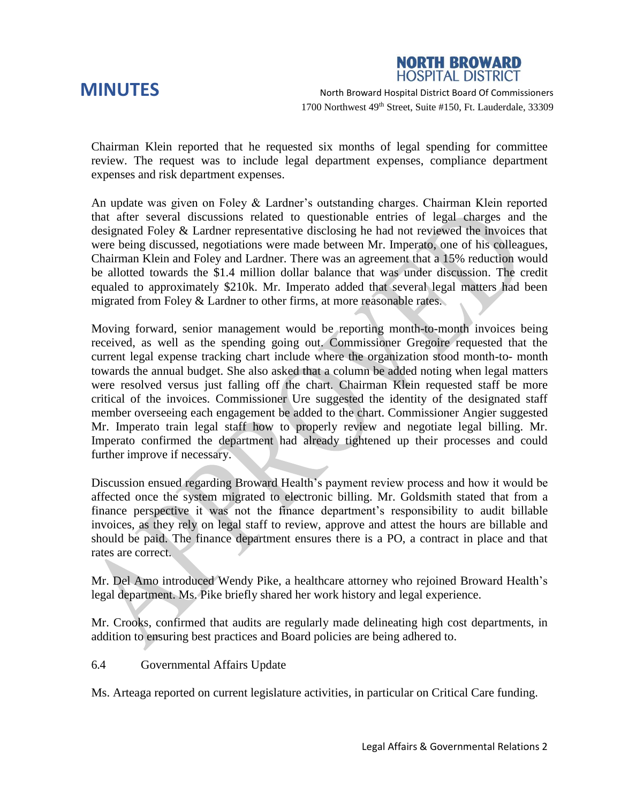**NORTH BROWARD HOSPITAL DISTRICT** 

**MINUTES** North Broward Hospital District Board Of Commissioners 1700 Northwest 49<sup>th</sup> Street, Suite #150, Ft. Lauderdale, 33309

Chairman Klein reported that he requested six months of legal spending for committee review. The request was to include legal department expenses, compliance department expenses and risk department expenses.

An update was given on Foley & Lardner's outstanding charges. Chairman Klein reported that after several discussions related to questionable entries of legal charges and the designated Foley & Lardner representative disclosing he had not reviewed the invoices that were being discussed, negotiations were made between Mr. Imperato, one of his colleagues, Chairman Klein and Foley and Lardner. There was an agreement that a 15% reduction would be allotted towards the \$1.4 million dollar balance that was under discussion. The credit equaled to approximately \$210k. Mr. Imperato added that several legal matters had been migrated from Foley & Lardner to other firms, at more reasonable rates.

Moving forward, senior management would be reporting month-to-month invoices being received, as well as the spending going out. Commissioner Gregoire requested that the current legal expense tracking chart include where the organization stood month-to- month towards the annual budget. She also asked that a column be added noting when legal matters were resolved versus just falling off the chart. Chairman Klein requested staff be more critical of the invoices. Commissioner Ure suggested the identity of the designated staff member overseeing each engagement be added to the chart. Commissioner Angier suggested Mr. Imperato train legal staff how to properly review and negotiate legal billing. Mr. Imperato confirmed the department had already tightened up their processes and could further improve if necessary.

Discussion ensued regarding Broward Health's payment review process and how it would be affected once the system migrated to electronic billing. Mr. Goldsmith stated that from a finance perspective it was not the finance department's responsibility to audit billable invoices, as they rely on legal staff to review, approve and attest the hours are billable and should be paid. The finance department ensures there is a PO, a contract in place and that rates are correct.

Mr. Del Amo introduced Wendy Pike, a healthcare attorney who rejoined Broward Health's legal department. Ms. Pike briefly shared her work history and legal experience.

Mr. Crooks, confirmed that audits are regularly made delineating high cost departments, in addition to ensuring best practices and Board policies are being adhered to.

6.4 Governmental Affairs Update

Ms. Arteaga reported on current legislature activities, in particular on Critical Care funding.